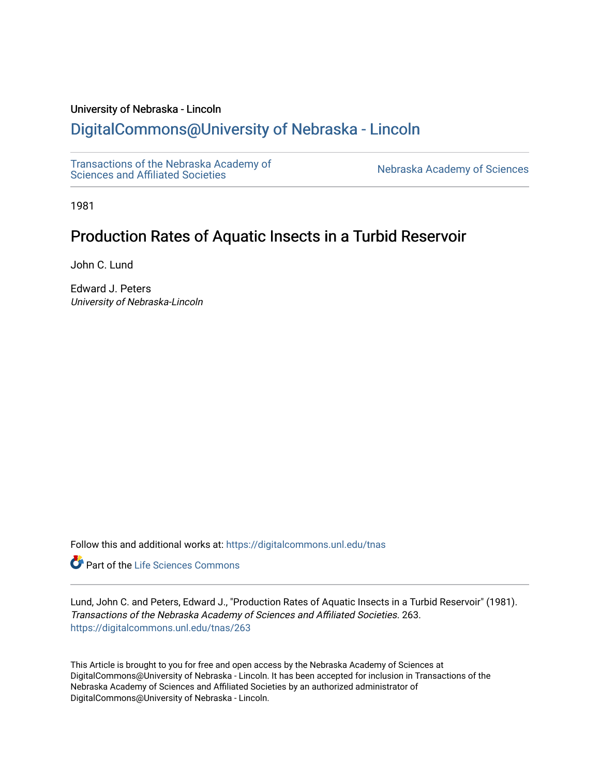### University of Nebraska - Lincoln

## [DigitalCommons@University of Nebraska - Lincoln](https://digitalcommons.unl.edu/)

[Transactions of the Nebraska Academy of](https://digitalcommons.unl.edu/tnas) 

Nebraska Academy of Sciences

1981

# Production Rates of Aquatic Insects in a Turbid Reservoir

John C. Lund

Edward J. Peters University of Nebraska-Lincoln

Follow this and additional works at: [https://digitalcommons.unl.edu/tnas](https://digitalcommons.unl.edu/tnas?utm_source=digitalcommons.unl.edu%2Ftnas%2F263&utm_medium=PDF&utm_campaign=PDFCoverPages) 

**Part of the Life Sciences Commons** 

Lund, John C. and Peters, Edward J., "Production Rates of Aquatic Insects in a Turbid Reservoir" (1981). Transactions of the Nebraska Academy of Sciences and Affiliated Societies. 263. [https://digitalcommons.unl.edu/tnas/263](https://digitalcommons.unl.edu/tnas/263?utm_source=digitalcommons.unl.edu%2Ftnas%2F263&utm_medium=PDF&utm_campaign=PDFCoverPages) 

This Article is brought to you for free and open access by the Nebraska Academy of Sciences at DigitalCommons@University of Nebraska - Lincoln. It has been accepted for inclusion in Transactions of the Nebraska Academy of Sciences and Affiliated Societies by an authorized administrator of DigitalCommons@University of Nebraska - Lincoln.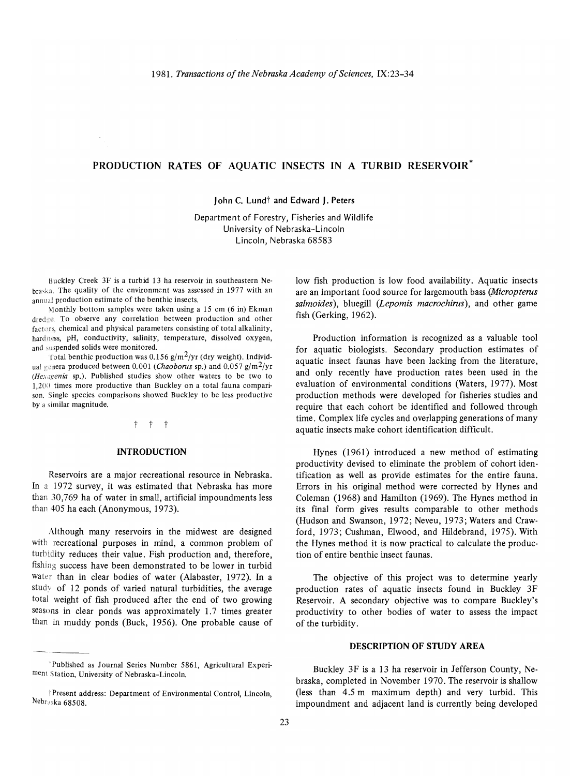## PRODUCTION RATES OF AQUATIC INSECTS IN A TURBID RESERYOIR\*

John C. Lund<sup>†</sup> and Edward J. Peters

Department of Forestry, Fisheries and Wildlife University of Nebraska-Lincoln Lincoln, Nebraska 68583

Buckley Creek 3F is a turbid 13 ha reservoir in southeastern Nebraska. The quality of the environment was assessed in 1977 with an annual production estimate of the benthic insects.

Monthly bottom samples were taken using a 15 cm (6 in) Ekman dredge. To observe any correlation between production and other factors, chemical and physical parameters consisting of total alkalinity, hard ness, pH, conductivity, salinity, temperature, dissolved oxygen, and suspended solids were monitored.

Total benthic production was 0.156 g/m<sup>2</sup>/yr (dry weight). Individual genera produced between 0.001 (Chaoborus sp.) and 0.057 g/m<sup>2</sup>/yr  $(Hex)$  (Hexagenia sp.). Published studies show other waters to be two to  $1,200$  times more productive than Buckley on a total fauna comparison. Single species comparisons showed Buckley to be less productive by a similar magnitude.

#### t t t

#### INTRODUCTION

Reservoirs are a major recreational resource in Nebraska. In a 1972 survey, it was estimated that Nebraska has more than 30,769 ha of water in small, artificial impoundments less than 405 ha each (Anonymous, 1973).

Although many reservoirs in the midwest are designed with recreational purposes in mind, a common problem of turhidity reduces their value. Fish production and, therefore, fishing success have been demonstrated to be lower in turbid water than in clear bodies of water (Alabaster, 1972). In a study of 12 ponds of varied natural turbidities, the average total weight of fish produced after the end of two growing seasons in clear ponds was approximately 1.7 times greater than in muddy ponds (Buck, 1956). One probable cause of low fish production is low food availability. Aquatic insects are an important food source for largemouth bass *(Micropterus salmoides)*, bluegill *(Lepomis macrochirns),* and other game fish (Gerking, 1962).

Production information is recognized as a valuable tool for aquatic biologists. Secondary production estimates of aquatic insect faunas have been lacking from the literature, and only recently have production rates been used in the evaluation of environmental conditions (Waters, 1977). Most production methods were developed for fisheries studies and require that each cohort be identified and followed through time. Complex life cycles and overlapping generations of many aquatic insects make cohort identification difficult.

Hynes (1961) introduced a new method of estimating productivity devised to eliminate the problem of cohort identification as well as provide estimates for the entire fauna. Errors in his original method were corrected by Hynes and Coleman (1968) and Hamilton (1969). The Hynes method in its final form gives results comparable to other methods (Hudson and Swanson, 1972; Neveu, 1973; Waters and Crawford, 1973; Cushman, Elwood, and Hildebrand, 1975). With the Hynes method it is now practical to calculate the production of entire benthic insect faunas.

The objective of this project was to determine yearly production rates of aquatic insects found in Buckley 3F Reservoir. A secondary objective was to compare Buckley's productivity to other bodies of water to assess the impact of the turbidity.

#### DESCRIPTION OF STUDY AREA

Buckley 3F is a 13 ha reservoir in Jefferson County, Nebraska, completed in November 1970. The reservoir is shallow (less than 4.5 m maximum depth) and very turbid. This impoundment and adjacent land is currently being developed

<sup>&</sup>quot;Published as Journal Series Number 5861, Agricultural Experiment Station, University of Nebraska-Lincoln.

Present address: Department of Environmental Control, Lincoln, Nebraska 68508.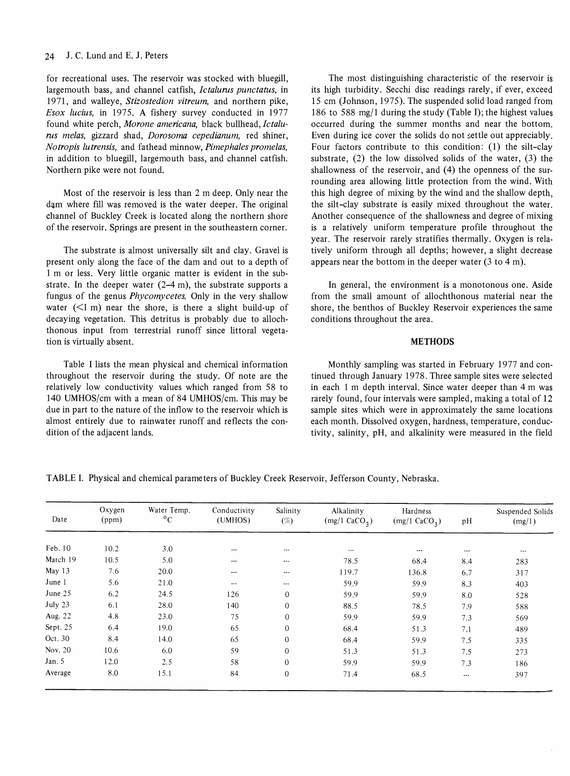for recreational uses. The reservoir was stocked with bluegill, largemouth bass, and channel catfish, *lctalurns punctatus,* in 1971, and walleye, *Stizostedion vitreum,* and northern pike, *Esox lucius,* in 1975. A fishery survey conducted in 1977 found white perch, Morone americana, black bullhead, Ictalu*rns melas,* gizzard shad, *Dorosoma cepedianum,* red shiner, *Notropis lutrensis,* and fathead minnow, *Pimephales promelas,*  in addition to bluegill, largemouth bass, and channel catfish. Northern pike were not found.

Most of the reservoir is less than 2 m deep. Only near the dam where fill was removed is the water deeper. The original channel of Buckley Creek is located along the northern shore of the reservoir. Springs are present in the southeastern corner.

The substrate is almost universally silt and clay. Gravel is present only along the face of the dam and out to a depth of 1 m or less. Very little organic matter is evident in the substrate. **In** the deeper water (2-4 m), the substrate supports a fungus of the genus *Phycomycetes.* Only in the very shallow water  $(\leq 1 \text{ m})$  near the shore, is there a slight build-up of decaying vegetation. This detritus is probably due to allochthonous input from terrestrial runoff since littoral vegetation is virtually absent.

Table I lists the mean physical and chemical information throughout the reservoir during the study. Of note are the relatively low conductivity values which ranged from 58 to 140 UMHOS/cm with a mean of 84 UMHOS/cm. This may be due in part to the nature of the inflow to the reservoir which is almost entirely due to rainwater runoff and reflects the condition of the adjacent lands.

The most distinguishing characteristic of the reservoir is its high turbidity. Secchi disc readings rarely, if ever, exceed 15 cm (Johnson, 1975). The suspended solid load ranged from 186 to 588 mg/l during the study (Table I); the highest values occurred during the summer months and near the bottom. Even during ice cover the solids do not settle out appreciably. Four factors contribute to this condition: (1) the silt-clay substrate, (2) the low dissolved solids of the water, (3) the shallowness of the reservoir, and (4) the openness of the surrounding area allowing little protection from the wind. With this high degree of mixing by the wind and the shallow depth, the silt-clay substrate is easily mixed throughout the water. Another consequence of the shallowness and degree of mixing is a relatively uniform temperature profile throughout the year. The reservoir rarely stratifies thermally. Oxygen is relatively uniform through all depths; however, a slight decrease appears near the bottom in the deeper water (3 to 4 m).

**In** general, the environment is a monotonous one. Aside from the small amount of allochthonous material near the shore, the benthos of Buckley Reservoir experiences the same conditions throughout the area.

#### **METHODS**

Monthly sampling was started in February 1977 and continued through January 1978. Three sample sites were selected in each 1 m depth interval. Since water deeper than 4 m was rarely found, four intervals were sampled, making a total of 12 sample sites which were in approximately the same locations each month. Dissolved oxygen, hardness, temperature, conductivity, salinity, pH, and alkalinity were measured in the field

**TABLE I.** Physical and chemical parameters of Buckley Creek Reservoir, Jefferson County, Nebraska.

| Date     | Oxygen<br>(ppm) | Water Temp.<br>$\rm ^{o}C$ | Conductivity<br>(UMHOS) | Salinity<br>$(\%)$ | Alkalinity<br>$(mg/1$ CaCO <sub>3</sub> ) | Hardness<br>$(mg/1$ CaCO <sub>3</sub> ) | pH              | Suspended Solids<br>(mg/1) |
|----------|-----------------|----------------------------|-------------------------|--------------------|-------------------------------------------|-----------------------------------------|-----------------|----------------------------|
| Feb. 10  | 10.2            | 3.0                        | $\cdots$                | $---$              |                                           |                                         |                 |                            |
| March 19 | 10.5            | 5.0                        | $- - -$                 | $\cdots$           | $---$<br>78.5                             | $\cdots$<br>68.4                        | $\cdots$<br>8.4 | ---<br>283                 |
| May 13   | 7.6             | 20.0                       | $---$                   | $--$               | 119.7                                     | 136.8                                   | 6.7             | 317                        |
| June 1   | 5.6             | 21.0                       | $\cdots$                | $\cdots$           | 59.9                                      | 59.9                                    | 8.3             | 403                        |
| June 25  | 6.2             | 24.5                       | 126                     | $\overline{0}$     | 59.9                                      | 59.9                                    | 8.0             | 528                        |
| July 23  | 6.1             | 28.0                       | 140                     | $\mathbf{0}$       | 88.5                                      | 78.5                                    | 7.9             | 588                        |
| Aug. 22  | 4.8             | 23.0                       | 75                      | $\mathbf{0}$       | 59.9                                      | 59.9                                    | 7.3             | 569                        |
| Sept. 25 | 6.4             | 19.0                       | 65                      | $\mathbf{0}$       | 68.4                                      | 51.3                                    | 7.1             | 489                        |
| Oct. 30  | 8.4             | 14.0                       | 65                      | $\mathbf{0}$       | 68.4                                      | 59.9                                    | 7.5             | 335                        |
| Nov. 20  | 10.6            | 6.0                        | 59                      | $\mathbf{0}$       | 51.3                                      | 51.3                                    | 7.5             | 273                        |
| Jan. $5$ | 12.0            | 2.5                        | 58                      | $\Omega$           | 59.9                                      | 59.9                                    | 7.3             | 186                        |
| Average  | 8.0             | 15.1                       | 84                      | $\mathbf{0}$       | 71.4                                      | 68.5                                    | ---             | 397                        |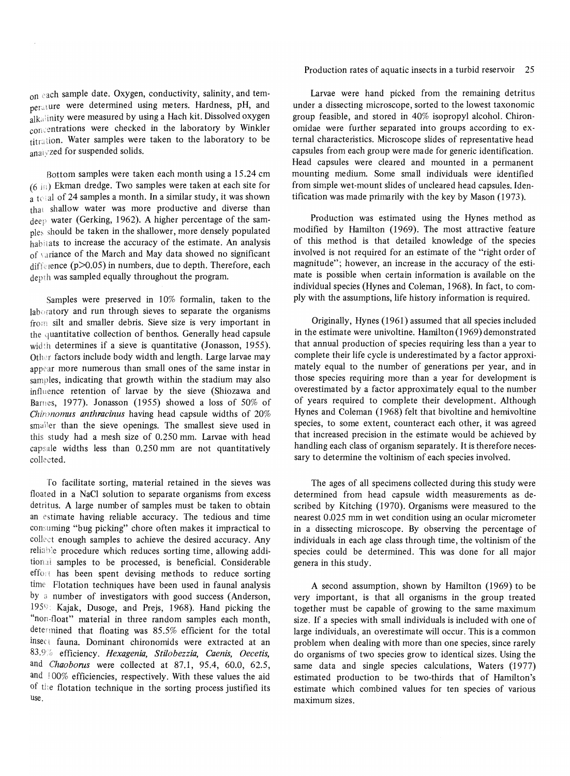$_{0}n$  each sample date. Oxygen, conductivity, salinity, and temperature were determined using meters. Hardness, pH, and  $a_{\text{alka}}$  inity were measured by using a Hach kit. Dissolved oxygen  $_{\rm con}$ : entrations were checked in the laboratory by Winkler titration. Water samples were taken to the laboratory to be anaivzed for suspended solids.

Bottom samples were taken each month using a 15.24 cm  $(6 \text{ in})$  Ekman dredge. Two samples were taken at each site for a 1( al of 24 samples a month. **In** a similar study, it was shown that shallow water was more productive and diverse than deep water (Gerking, 1962). A higher percentage of the sample, should be taken in the shallower, more densely populated habitats to increase the accuracy of the estimate. An analysis of variance of the March and May data showed no significant difference  $(p>0.05)$  in numbers, due to depth. Therefore, each depth was sampled equally throughout the program.

Samples were preserved in 10% formalin, taken to the  $lab$  abuatory and run through sieves to separate the organisms from silt and smaller debris. Sieve size is very important in the quantitative collection of benthos. Generally head capsule wid'h determines if a sieve is quantitative (Jonasson, 1955). Other factors include body width and length. Large larvae may appear more numerous than small ones of the same instar in samples, indicating that growth within the stadium may also influence retention of larvae by the sieve (Shiozawa and Barnes, 1977). Jonasson (1955) showed a loss of 50% of *Chironomus anthracinus* having head capsule widths of 20% smaller than the sieve openings. The smallest sieve used in this study had a mesh size of 0.250 mm. Larvae with head capsule widths less than  $0.250$  mm are not quantitatively collected.

To facilitate sorting, material retained in the sieves was floated in a NaCI solution to separate organisms from excess detritus. A large number of samples must be taken to obtain an estimate having reliable accuracy. The tedious and time consuming "bug picking" chore often makes it impractical to collect enough samples to achieve the desired accuracy. Any reliable procedure which reduces sorting time, allowing additional samples to be processed, is beneficial. Considerable effort has been spent devising methods to reduce sorting time Flotation techniques have been used in faunal analysis by a number of investigators with good success (Anderson, 1959: Kajak, Dusoge, and Prejs, 1968). Hand picking the "non·float" material in three random samples each month, determined that floating was 85.5% efficient for the total insect fauna. Dominant chironomids were extracted at an 83.9;) efficiency. *Hexagenia, Stilobezzia, Caenis, Decetis,*  and *Chaoborus* were collected at 87.1, 95.4, 60.0, 62.5, and 100% efficiencies, respectively. With these values the aid of the flotation technique in the sorting process justified its use.

#### Production rates of aquatic insects in a turbid reservoir 25

Larvae were hand picked from the remaining detritus under a dissecting microscope, sorted to the lowest taxonomic group feasible, and stored in 40% isopropyl alcohol. Chironomidae were further separated into groups according to external characteristics. Microscope slides of representative head capsules from each group were made for generic identification. Head capsules were cleared and mounted in a permanent mounting medium. Some small individuals were identified from simple wet-mount slides of uncleared head capsules. Identification was made primarily with the key by Mason (1973).

Production was estimated using the Hynes method as modified by Hamilton (1969). The most attractive feature of this method is that detailed knowledge of the species involved is not required for an estimate of the "right order of magnitude"; however, an increase in the accuracy of the estimate is possible when certain information is available on the individual species (Hynes and Coleman, 1968). **In** fact, to comply with the assumptions, life history information is required.

Originally, Hynes (1961) assumed that all species included in the estimate were univoltine. Hamilton (1969) demonstrated that annual production of species requiring less than a year to complete their life cycle is underestimated by a factor approximately equal to the number of generations per year, and in those species requiring more than a year for development is overestimated by a factor approximately equal to the number of years required to complete their development. Although Hynes and Coleman (1968) felt that bivoltine and hemivoltine species, to some extent, counteract each other, it was agreed that increased precision in the estimate would be achieved by handling each class of organism separately. It is therefore necessary to determine the voltinism of each species involved.

The ages of all specimens collected during this study were determined from head capsule width measurements as described by Kitching (1970). Organisms were measured to the nearest 0.025 mm in wet condition using an ocular micrometer in a dissecting microscope. By observing the percentage of individuals in each age class through time, the voltinism of the species could be determined. This was done for all major genera in this study.

A second assumption, shown by Hamilton (1969) to be very important, is that all organisms in the group treated together must be capable of growing to the same maximum size. **If** a species with small individuals is included with one of large individuals, an overestimate will occur. This is a common problem when dealing with more than one species, since rarely do organisms of two species grow to identical sizes. Using the same data and single species calculations, Waters (1977) estimated production to be two-thirds that of Hamilton's estimate which combined values for ten species of various maximum sizes.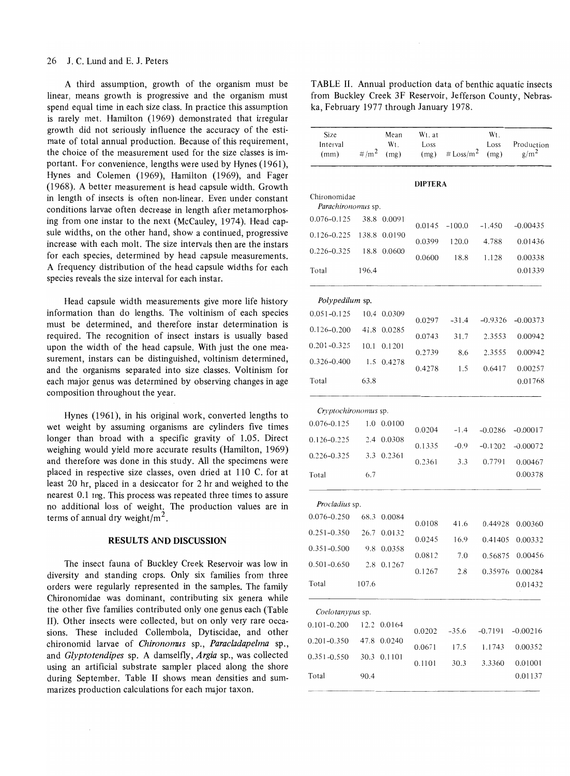A third assumption, growth of the organism must be linear, means growth is progressive and the organism must spend equal time in each size class. In practice this assumption is rarely met. Hamilton (1969) demonstrated that irregular growth did not seriously influence the accuracy of the estimate of total annual production. Because of this requirement, the choice of the measurement used for the size classes is important. For convenience, lengths were used by Hynes (1961), Hynes and Colemen (1969), Hamilton (1969), and Fager (I968). A better measurement is head capsule width. Growth in length of insects is often non-linear. Even under constant conditions larvae often decrease in length after metamorphosing from one instar to the next (McCauley, 1974). Head capsule widths, on the other hand, show a continued, progressive increase with each molt. The size intervals then are the instars for each species, determined by head capsule measurements. A frequency distribution of the head capsule widths for each species reveals the size interval for each instar.

Head capsule width measurements give more life history information than do lengths. The voltinism of each species must be determined, and therefore instar determination is required. The recognition of insect instars is usually based upon the width of the head capsule. With just the one measurement, instars can be distinguished, voltinism determined, and the organisms separated into size classes. Voltinism for each major genus was determined by observing changes in age composition throughout the year.

Hynes (1961), in his original work, converted lengths to wet weight by assuming organisms are cylinders five times longer than broad with a specific gravity of 1.05. Direct weighing would yield more accurate results (Hamilton, 1969) and therefore was done in this study. All the specimens were placed in respective size classes, oven dried at 110 C. for at least 20 hr, placed in a desiccator for 2 hr and weighed to the nearest O.l mg. This process was repeated three times to assure no additional loss of weight. The production values are in terms of annual dry weight/ $m<sup>2</sup>$ .

#### **RESULTS AND DISCUSSION**

The insect fauna of Buckley Creek Reservoir was low in diversity and standing crops. Only six families from three orders were regularly represented in the samples. The family Chironomidae was dominant, contributing six genera while the other five families contributed only one genus each (Table II). Other insects were collected, but on only very rare occasions. These included Collembola, Dytiscidae, and other chironomid larvae of *Chironomus* sp., *Paracladapelma* sp., and *Glyptotendipes* sp. A damselfly, *Argia* sp., was collected using an artificial substrate sampler placed along the shore during September. Table II shows mean densities and summarizes production calculations for each major taxon.

| TABLE II. Annual production data of benthic aquatic insects |
|-------------------------------------------------------------|
| from Buckley Creek 3F Reservoir, Jefferson County, Nebras-  |
| ka, February 1977 through January 1978.                     |

| Size                        |                  | Mean        | Wt. at         |                     | Wt.          |                                |
|-----------------------------|------------------|-------------|----------------|---------------------|--------------|--------------------------------|
| Interval<br>(mm)            | #/m <sup>2</sup> | Wt.         | Loss           | # $\text{Loss/m}^2$ | Loss<br>(mg) | Production<br>g/m <sup>2</sup> |
|                             |                  | (mg)        | (mg)           |                     |              |                                |
|                             |                  |             | <b>DIPTERA</b> |                     |              |                                |
| Chironomidae                |                  |             |                |                     |              |                                |
| <i>Parachironomus</i> sp.   |                  |             |                |                     |              |                                |
| 0.076-0.125                 |                  | 38.8 0.0091 | 0.0145         | $-100.0$            | -1.450       | $-0.00435$                     |
| $0.126 - 0.225$             | 138.8            | 0.0190      | 0.0399         | 120.0               | 4.788        | 0.01436                        |
| 0.226-0.325                 | 18.8             | 0.0600      | 0.0600         | 18.8                | 1.128        | 0.00338                        |
| Total                       | 196.4            |             |                |                     |              | 0.01339                        |
| <i>Polypedilum</i> sp.      |                  |             |                |                     |              |                                |
| $0.051 - 0.125$             | 10.4             | 0.0309      | 0.0297         | $-31.4$             | $-0.9326$    | $-0.00373$                     |
| 0.126-0.200                 | 41.8             | 0.0285      | 0.0743         | 31.7                | 2.3553       | 0.00942                        |
| $0.201 - 0.325$             | 10.1             | 0.1201      | 0.2739         | 8.6                 | 2.3555       | 0.00942                        |
| 0.326-0.400                 | 1.5              | 0.4278      | 0.4278         | 1.5                 | 0.6417       | 0.00257                        |
| Total                       | 63.8             |             |                |                     |              | 0.01768                        |
| <i>Cryptochirononus</i> sp. |                  |             |                |                     |              |                                |
| $0.076 - 0.125$             | 1.0              | 0.0100      |                |                     |              |                                |
| 0.126-0.225                 | 2.4              | 0.0308      | 0.0204         | $-1.4$              | $-0.0286$    | $-0.00017$                     |
| 0.226-0.325                 | 3.3              | 0.2361      | 0.1335         | $-0.9$              | $-0.1202$    | $-0.00072$                     |
| Total                       | 6.7              |             | 0.2361         | 3.3                 | 0.7791       | 0.00467<br>0.00378             |
|                             |                  |             |                |                     |              |                                |
| Procladius sp.              |                  |             |                |                     |              |                                |
| $0.076 - 0.250$             | 68.3             | 0.0084      | 0.0108         | 41.6                | 0.44928      | 0.00360                        |
| $0.251 - 0.350$             | 26.7             | 0.0132      | 0.0245         | 16.9                | 0.41405      | 0.00332                        |
| $0.351 - 0.500$             | 9.8              | 0.0358      | 0.0812         | 7.0                 |              | 0.56875 0.00456                |
| $0.501 - 0.650$             |                  | 2.8 0.1267  | 0.1267         | 2.8                 | 0.35976      | 0.00284                        |
| Total                       | 107.6            |             |                |                     |              | 0.01432                        |
| Coelotanypus sp.            |                  |             |                |                     |              |                                |
| $0.101 - 0.200$             | 12.2             | 0.0164      | 0.0202         | $-35.6$             | $-0.7191$    | $-0.00216$                     |
| $0.201 - 0.350$             | 47.8             | 0.0240      | 0.0671         | 17.5                | 1.1743       | 0.00352                        |
| $0.351 - 0.550$             | 30.3             | 0.1101      | 0.1101         | 30.3                | 3.3360       | 0.01001                        |
| Total                       | 90.4             |             |                |                     |              | 0.01137                        |
|                             |                  |             |                |                     |              |                                |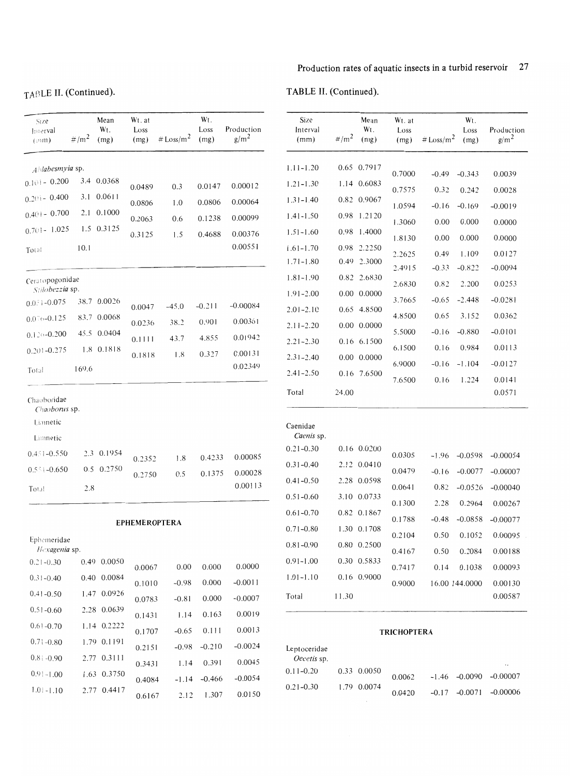# TABLE **II.** (Continued).

|  | TABLE II. (Continued). |
|--|------------------------|
|--|------------------------|

| Size<br>Interval<br>(mn)                                                                                                      | $\# / m^2$ | Mean<br>Wt.<br>(mg)                                                     | Wt. at<br>Loss<br>(mg)                                       | # $Loss/m2$                                   | Wt.<br>Loss<br>(mg)                             | Production<br>g/m <sup>2</sup>                         | Size<br>Interval<br>(mm)                                                                                            | #/m <sup>2</sup> | Mean<br>Wt.<br>(n)                                                                                       | Wt. at<br>Loss<br>(mg)                                             | # $Loss/m2$                                                   | Wt.<br>Loss<br>(mg)                                                  | Production<br>g/m <sup>2</sup>                                               |
|-------------------------------------------------------------------------------------------------------------------------------|------------|-------------------------------------------------------------------------|--------------------------------------------------------------|-----------------------------------------------|-------------------------------------------------|--------------------------------------------------------|---------------------------------------------------------------------------------------------------------------------|------------------|----------------------------------------------------------------------------------------------------------|--------------------------------------------------------------------|---------------------------------------------------------------|----------------------------------------------------------------------|------------------------------------------------------------------------------|
| Ahlabesmyia sp.<br>$0.101 - 0.200$<br>$0.2() = 0.400$<br>$0.401 - 0.700$<br>$0.701 - 1.025$                                   |            | 3.4 0.0368<br>3.1 0.0611<br>2.1 0.1000<br>1.5 0.3125                    | 0.0489<br>0.0806<br>0.2063<br>0.3125                         | 0.3<br>1.0<br>0.6<br>1.5                      | 0.0147<br>0.0806<br>0.1238<br>0.4688            | 0.00012<br>0.00064<br>0.00099<br>0.00376               | $1.11 - 1.20$<br>$1.21 - 1.30$<br>$1.31 - 1.40$<br>$1.41 - 1.50$<br>$1.51 - 1.60$                                   |                  | 0.65 0.7917<br>1.14 0.6083<br>0.82 0.9067<br>0.98 1.2120<br>0.98 1.4000                                  | 0.7000<br>0.7575<br>1.0594<br>1.3060                               | $-0.49$<br>0.32<br>$-0.16$<br>0.00<br>0.00                    | $-0.343$<br>0.242<br>$-0.169$<br>0.000<br>0.000                      | 0.0039<br>0.0028<br>$-0.0019$<br>0.0000<br>0.0000                            |
| Total                                                                                                                         | 10.1       |                                                                         |                                                              |                                               |                                                 | 0.00551                                                | $1.61 - 1.70$<br>$1.71 - 1.80$                                                                                      |                  | 0.98 2.2250<br>0.49 2.3000                                                                               | 1.8130<br>2.2625<br>2.4915                                         | 0.49<br>$-0.33$                                               | 1.109<br>$-0.822$                                                    | 0.0127<br>$-0.0094$                                                          |
| Ceratopogonidae<br>Stilobezzia sp.<br>$0.0\sqrt{3}$ - 0.075<br>$0.076 - 0.125$<br>$0.120 - 0.200$<br>$0.201 - 0.275$<br>Total | 169.6      | 38.7 0.0026<br>83.7 0.0068<br>45.5 0.0404<br>1.8 0.1818                 | 0.0047<br>0.0236<br>0.1111<br>0.1818                         | $-45.0$<br>38.2<br>43.7<br>1.8                | $-0.211$<br>0.901<br>4.855<br>0.327             | $-0.00084$<br>0.00361<br>0.01942<br>0.00131<br>0.02349 | $1.81 - 1.90$<br>$1.91 - 2.00$<br>$2.01 - 2.10$<br>$2.11 - 2.20$<br>$2.21 - 2.30$<br>$2.31 - 2.40$<br>$2.41 - 2.50$ |                  | 0.82 2.6830<br>$0.00\ 0.0000$<br>0.65 4.8500<br>0.00 0.0000<br>0.16 6.1500<br>0.00 0.0000<br>0.16 7.6500 | 2.6830<br>3.7665<br>4.8500<br>5.5000<br>6.1500<br>6.9000<br>7.6500 | 0.82<br>$-0.65$<br>0.65<br>$-0.16$<br>0.16<br>$-0.16$<br>0.16 | 2.200<br>$-2.448$<br>3.152<br>$-0.880$<br>0.984<br>$-1.104$<br>1.224 | 0.0253<br>$-0.0281$<br>0.0362<br>$-0.0101$<br>0.0113<br>$-0.0127$<br>0.0141  |
| Chaoboridae<br>Chaoborus sp.<br>Limnetic<br>Limnetic<br>$0.451 - 0.550$<br>$0.551 - 0.650$<br>Total                           | 2.8        | 2.3 0.1954<br>0.5 0.2750                                                | 0.2352<br>0.2750                                             | 1.8<br>0.5                                    | 0.4233<br>0.1375                                | 0.00085<br>0.00028<br>0.00113                          | Total<br>Caenidae<br>Caenis sp.<br>$0.21 - 0.30$<br>$0.31 - 0.40$<br>$0.41 - 0.50$<br>$0.51 - 0.60$                 | 24.00            | 0.16 0.0200<br>2.12 0.0410<br>2.28 0.0598<br>3.10 0.0733                                                 | 0.0305<br>0.0479<br>0.0641                                         | $-1.96$<br>$-0.16$<br>0.82                                    | $-0.0598$<br>$-0.0077$<br>$-0.0526$                                  | 0.0571<br>$-0.00054$<br>$-0.00007$<br>$-0.00040$                             |
| Ephemeridae<br>Hexagenia sp.<br>$0.21 - 0.30$<br>$0.31 - 0.40$<br>$0.41 - 0.50$<br>$0.51 - 0.60$                              |            | 0.49 0.0050<br>0.40 0.0084<br>1.47 0.0926<br>2.28 0.0639                | <b>EPHEMEROPTERA</b><br>0.0067<br>0.1010<br>0.0783<br>0.1431 | 0.00<br>$-0.98$<br>$-0.81$<br>1.14            | 0.000<br>0.000<br>0.000<br>0.163                | 0.0000<br>$-0.0011$<br>$-0.0007$<br>0.0019             | $0.61 - 0.70$<br>$0.71 - 0.80$<br>$0.81 - 0.90$<br>$0.91 - 1.00$<br>$1.01 - 1.10$<br>Total                          | 11.30            | 0.82 0.1867<br>1.30 0.1708<br>0.80 0.2500<br>0.30 0.5833<br>0.16 0.9000                                  | 0.1300<br>0.1788<br>0.2104<br>0.4167<br>0.7417<br>0.9000           | 2.28<br>$-0.48$<br>0.50<br>0.50<br>0.14                       | 0.2964<br>$-0.0858$<br>0.1052<br>0.2084<br>0.1038<br>16.00 144.0000  | 0.00267<br>$-0.00077$<br>0.00095<br>0.00188<br>0.00093<br>0.00130<br>0.00587 |
| $0.61 - 0.70$<br>$0.71 - 0.80$<br>$0.8 - 0.90$<br>$0.91 - 1.00$<br>$1.0 - 1.10$                                               |            | 1.14 0.2222<br>1.79 0.1191<br>2.77 0.3111<br>1.63 0.3750<br>2.77 0.4417 | 0.1707<br>0.2151<br>0.3431<br>0.4084<br>0.6167               | $-0.65$<br>$-0.98$<br>1.14<br>$-1.14$<br>2.12 | 0.111<br>$-0.210$<br>0.391<br>$-0.466$<br>1.307 | 0.0013<br>$-0.0024$<br>0.0045<br>$-0.0054$<br>0.0150   | Leptoceridae<br>Oecetis sp.<br>$0.11 - 0.20$<br>$0.21 - 0.30$                                                       |                  | 0.33 0.0050<br>1.79 0.0074                                                                               | <b>TRICHOPTERA</b><br>0.0062<br>0.0420                             | $-1.46$<br>$-0.17$                                            | $-0.0090$<br>$-0.0071$                                               | $-0.00007$<br>$-0.00006$                                                     |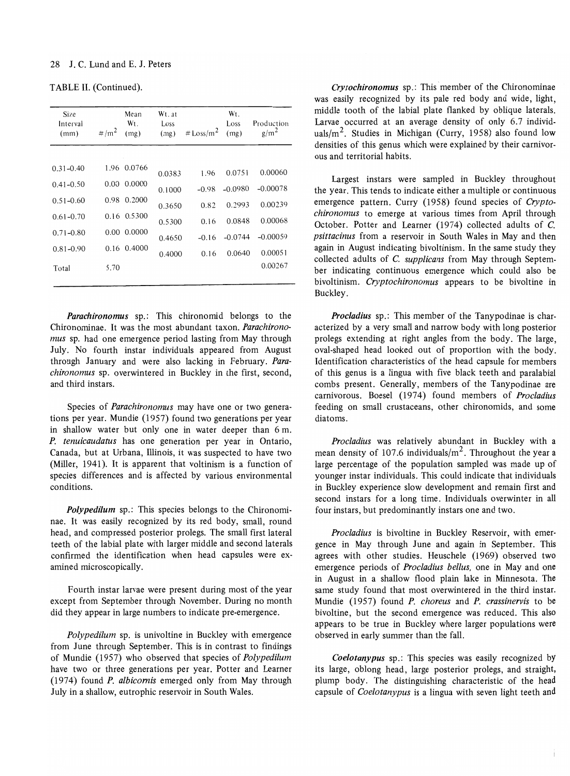TABLE II. (Continued).

| Size<br>Interval<br>(mm) | $\# / m^2$ | Mean<br>W <sub>t.</sub><br>(mg) | Wt. at<br>Loss<br>(mg) | # $\text{Loss/m}^2$ | W <sub>t.</sub><br>Loss<br>(mg) | Production<br>g/m <sup>2</sup> |
|--------------------------|------------|---------------------------------|------------------------|---------------------|---------------------------------|--------------------------------|
|                          |            |                                 |                        |                     |                                 |                                |
| $0.31 - 0.40$            | 1.96       | 0.0766                          | 0.0383                 | 1.96                | 0.0751                          | 0.00060                        |
| $0.41 - 0.50$            | 0.00       | 0.0000                          | 0.1000                 | $-0.98$             | $-0.0980$                       | $-0.00078$                     |
| $0.51 - 0.60$            | 0.98       | 0.2000                          | 0.3650                 | 0.82                | 0.2993                          | 0.00239                        |
| $0.61 - 0.70$            |            | 0.16 0.5300                     | 0.5300                 | 0.16                | 0.0848                          | 0.00068                        |
| $0.71 - 0.80$            | 0.00       | 0.0000                          | 0.4650                 | $-0.16$             | $-0.0744$                       | $-0.00059$                     |
| $0.81 - 0.90$            | 0.16       | 0.4000                          | 0.4000                 | 0.16                | 0.0640                          | 0.00051                        |
| Total                    | 5.70       |                                 |                        |                     |                                 | 0.00267                        |
|                          |            |                                 |                        |                     |                                 |                                |

*Parachironomus* sp.: This chironomid belongs to the Chironominae. It was the most abundant taxon. *Parachironomus* sp. had one emergence period lasting from May through July. No fourth instar individuals appeared from August through January and were also lacking in February. *Parachironomus* sp. overwintered in Buckley in the first, second, and third instars.

Species of *Parachironomus* may have one or two generations per year. Mundie (1957) found two generations per year in shallow water but only one in water deeper than 6 m. *P. tenuicaudatus* has one generation per year in Ontario, Canada, but at Urbana, Illinois, it was suspected to have two (Miller, 1941). It is apparent that voltinism is a function of species differences and is affected by various environmental conditions.

*Polypedilum* sp.: This species belongs to the Chironominae. It was easily recognized by its red body, small, round head, and compressed posterior prolegs. The small first lateral teeth of the labial plate with larger middle and second laterals confirmed the identification when head capsules were examined microscopically.

Fourth instar larvae were present during most of the year except from September through November. During no month did they appear in large numbers to indicate pre-emergence.

*Polypedilum* sp. is univoltine in Buckley with emergence from June through September. This is in contrast to findings of Mundie (1957) who observed that species of *Polypedilum*  have two or three generations per year. Potter and Learner (1974) found *P. albicomis* emerged only from May through July in a shallow, eutrophic reservoir in South Wales.

*Crytochironomus* sp.: This member of the Chironominae was easily recognized by its pale red body and wide, light, middle tooth of the labial plate flanked by oblique laterals. Larvae occurred at an average density of only 6.7 individuals/ $m^2$ . Studies in Michigan (Curry, 1958) also found low densities of this genus which were explained by their carnivorous and territorial habits.

Largest instars were sampled in Buckley throughout the year. This tends to indicate either a multiple or continuous emergence pattern. Curry (1958) found species of *Cryptochironomus* to emerge at various times from April through October. Potter and Learner (1974) collected adults of C. *psittacinus* from a reservoir in South Wales in May and then again in August indicating bivoltinism. In the same study they collected adults of C. *supp/icans* from May through September indicating continuous emergence which could also be bivoltinism. *Cryptochironomus* appears to be bivoltine in Buckley.

*Procladius* sp.: This member of the Tanypodinae is characterized by a very small and narrow body with long posterior prolegs extending at right angles from the body. The large, oval-shaped head looked out of proportion with the body. Identification characteristics of the head capsule for members of this genus is a lingua with five black teeth and paralabial combs present. Generally, members of the Tanypodinae are carnivorous. Boesel (1974) found members of *Procladius*  feeding on small crustaceans, other chironomids, and some diatoms.

*Procladius* was relatively abundant in Buckley with a mean density of 107.6 individuals/ $m<sup>2</sup>$ . Throughout the year a large percentage of the population sampled was made up of younger instar individuals. This could indicate that individuals in Buckley experience slow development and remain first and second instars for a long time. Individuals overwinter in all four instars, but predominantly instars one and two.

*Procladius* is bivoltine in Buckley Reservoir, with emergence in May through June and again in September. This agrees with other studies. Heuschele (1969) observed two emergence periods of *Procladius bellus,* one in May and one in August in a shallow flood plain lake in Minnesota. The same study found that most overwintered in the third instar. Mundie (1957) found *P. choreus* and *P. crassinervis* to be bivoltine, but the second emergence was reduced. This also appears to be true in Buckley where larger populations were observed in early summer than the fall.

*Coelotanypus* sp.: This species was easily recognized by its large, oblong head, large posterior prolegs, and straight, plump body. The distinguishing characteristic of the head capsule of *Coelotanypus* is a lingua with seven light teeth and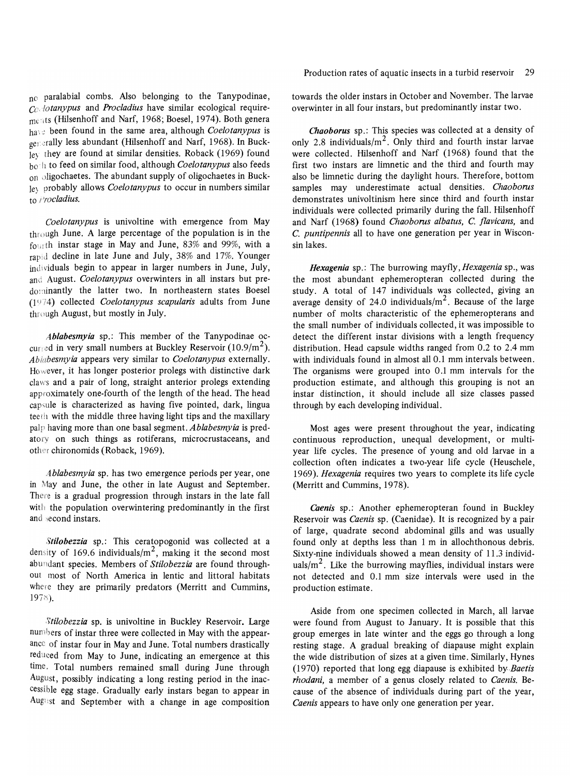no paralabial combs. Also belonging to the Tanypodinae, Co *lotanypus* and *Procladius* have similar ecological requirements (Hilsenhoff and Narf, 1968; Boesel, 1974). Both genera have been found in the same area, although *Coelotanypus* is ger,;rally less abundant (Hilsenhoff and Narf, 1968). **In** Buck*le\* they are found at similar densities. Roback (1969) found b~ il to feed on similar food, although *Coelotanypus* also feeds on oligochaetes. The abundant supply of oligochaetes in Buckle) probably allows *Coelotanypus* to occur in numbers similar to *I'rocladius.* 

*Coelotanypus* is univoltine with emergence from May through June. A large percentage of the population is in the fourth instar stage in May and June, 83% and 99%, with a rapid decline in late June and July, 38% and 17%. Younger individuals begin to appear in larger numbers in June, July, and August. *Coelotanypus* overwinters in all instars but predominantly the latter two. In northeastern states Boesel (1974) collected *Coelotanypus scapularis* adults from June through August, but mostly in July.

*Ablabesmyia* sp.: This member of the Tanypodinae occurred in very small numbers at Buckley Reservoir  $(10.9/m<sup>2</sup>)$ . *Abiabesmyia* appears very similar to *Coelotanypus* externally. However, it has longer posterior prolegs with distinctive dark claws and a pair of long, straight anterior prolegs extending approximately one-fourth of the length of the head. The head capsule is characterized as having five pointed, dark, lingua teeth with the middle three having light tips and the maxillary palp having more than one basal segment. *Ablabesmyia* is predatory on such things as rotiferans, microcrustaceans, and other chironomids (Roback, 1969).

*Ablabesmyia* sp. has two emergence periods per year, one in May and June, the other in late August and September. There is a gradual progression through instars in the late fall with the population overwintering predominantly in the first and second instars.

*Stilobezzia* sp.: This ceratopogonid was collected at a density of 169.6 individuals/ $m^2$ , making it the second most abundant species. Members of *Stilobezzia* are found throughout most of North America in lentic and littoral habitats where they are primarily predators (Merritt and Cummins, 1978).

*Stilobezzia* sp. is univoltine in Buckley Reservoir. Large numbers of instar three were collected in May with the appearance of instar four in May and June. Total numbers drastically reduced from May to June, indicating an emergence at this time. Total numbers remained small during June through August, possibly indicating a long resting period in the inaccessible egg stage. Gradually early instars began to appear in August and September with a change in age composition towards the older instars in October and November. The larvae overwinter in all four instars, but predominantly instar two.

*Chaoborus* sp.: This species was collected at a density of only 2.8 individuals/ $m^2$ . Only third and fourth instar larvae were collected. Hilsenhoff and Narf (1968) found that the first two instars are limnetic and the third and fourth may also be limnetic during the daylight hours. Therefore, bottom samples may underestimate actual densities. *Chaoborus*  demonstrates univoltinism here since third and fourth instar individuals were collected primarily during the fall. Hilsenhoff and Narf (1968) found *Chaoborus albatus,* C. *fiavicans,* and C. *puntipennis* all to have one generation per year in Wisconsin lakes.

*Hexagenia* sp.: The burrowing *mayfly,Hexagenia* sp., was the most abundant ephemeropteran collected during the study. A total of 147 individuals was collected, giving an average density of 24.0 individuals/ $m<sup>2</sup>$ . Because of the large number of molts characteristic of the ephemeropterans and the small number of individuals collected, it was impossible to detect the different instar divisions with a length frequency distribution. Head capsule widths ranged from 0.2 to 2.4 mm with individuals found in almost all 0.1 mm intervals between. The organisms were grouped into 0.1 mm intervals for the production estimate, and although this grouping is not an instar distinction, it should include all size classes passed through by each developing individual.

Most ages were present throughout the year, indicating continuous reproduction, unequal development, or multiyear life cycles. The presence of young and old larvae in a collection often indicates a two-year life cycle (Heuschele, *1969). Hexagenia* requires two years to complete its life cycle (Merritt and Cummins, 1978).

*Caenis* sp.: Another ephemeropteran found in Buckley Reservoir was *Caenis* sp. (Caenidae). It is recognized by a pair of large, quadrate second abdominal gills and was usually found only at depths less than 1 m in allochthonous debris. Sixty-nine individuals showed a mean density of 11.3 individuals/ $m<sup>2</sup>$ . Like the burrowing mayflies, individual instars were not detected and 0.1 mm size intervals were used in the production estimate.

Aside from one specimen collected in March, all larvae were found from August to January. It is possible that this group emerges in late winter and the eggs go through a long resting stage. A gradual breaking of diapause might explain the wide distribution of sizes at a given time. Similarly, Hynes (1970) reported that long egg diapause is exhibited by *Baetis rhodani,* a member of a genus closely related to *Caenis.* Because of the absence of individuals during part of the year, *Caenis* appears to have only one generation per year.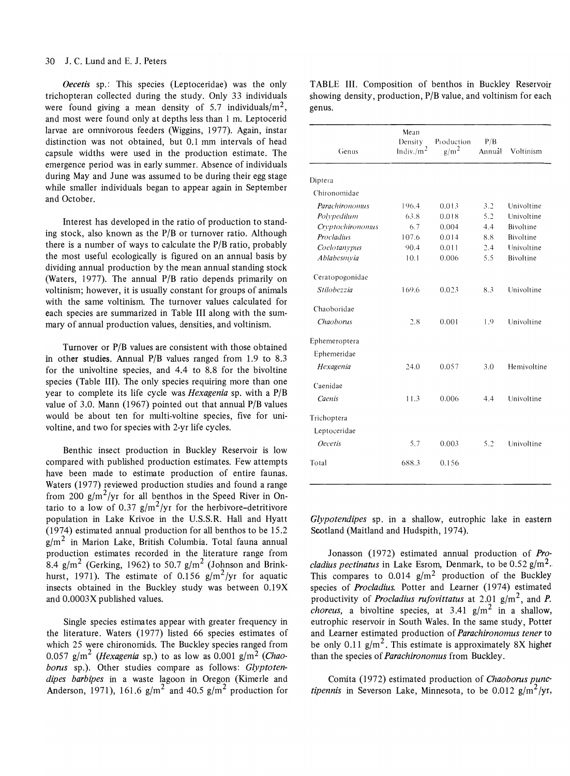*Oecetis* sp.: This species (Leptoceridae) was the only trichopteran collected during the study. Only 33 individuals were found giving a mean density of 5.7 individuals/ $m<sup>2</sup>$ , and most were found only at depths less than 1 m. Leptocerid larvae are omnivorous feeders (Wiggins, 1977). Again, instar distinction was not obtained, but 0.1 mm intervals of head capsule widths were used in the production estimate. The emergence period was in early summer. Absence of individuals during May and June was assumed to be during their egg stage while smaller individuals began to appear again in September and October.

Interest has developed in the ratio of production to standing stock, also known as the P/B or turnover ratio. Although there is a number of ways to calculate the  $P/B$  ratio, probably the most useful ecologically is figured on an annual basis by dividing annual production by the mean annual standing stock (Waters, 1977). The annual  $P/B$  ratio depends primarily on voltinism; however, it is usually constant for groups of animals with the same voltinism. The turnover values calculated for each species are summarized in Table III along with the summary of annual production values, densities, and voltinism.

Turnover or P/B values are consistent with those obtained in other studies. Annual  $P/B$  values ranged from 1.9 to 8.3 for the univoltine species, and 4.4 to 8.8 for the bivoltine species (Table III). The only species requiring more than one year to complete its life cycle was *Hexagenia* sp. with a P/B value of 3.0. Mann (1967) pointed out that annual P/B values would be about ten for multi-voltine species, five for univoltine, and two for species with 2-yr life cycles.

Benthic insect production in Buckley Reservoir is low compared with published production estimates. Few attempts have been made to estimate production of entire faunas. Waters (1977) reviewed production studies and found a range from 200 g/m<sup>2</sup>/yr for all benthos in the Speed River in Ontario to a low of 0.37  $g/m^2/yr$  for the herbivore-detritivore population in Lake Krivoe in the U.S.S.R. Hall and Hyatt (1974) estimated annual production for all benthos to be 15.2  $g/m<sup>2</sup>$  in Marion Lake, British Columbia. Total fauna annual production estimates recorded in the literature range from  $8.4$  g/m $^2$  (Gerking, 1962) to 50.7 g/m $^2$  (Johnson and Brinkhurst, 1971). The estimate of 0.156  $g/m^2/yr$  for aquatic insects obtained in the Buckley study was between 0.19X and O.0003X published values.

Single species estimates appear with greater frequency in the literature. Waters (1977) listed 66 species estimates of which 25 were chironomids. The Buckley species ranged from 0.057 g/m<sup>2</sup> *(Hexagenia sp.)* to as low as 0.001 g/m<sup>2</sup> *(Chao*borus sp.). Other studies compare as follows: *Glyptotendipes barbipes* in a waste lagoon in Oregon (Kimerle and Anderson, 1971), 161.6  $g/m^2$  and 40.5  $g/m^2$  production for

|        | TABLE III. Composition of benthos in Buckley Reservoir           |  |  |  |
|--------|------------------------------------------------------------------|--|--|--|
|        | showing density, production, $P/B$ value, and voltinism for each |  |  |  |
| genus. |                                                                  |  |  |  |

| Genus            | Mean<br>Density<br>Indiv./ $m2$ | Production<br>$g/m^2$ | P/B<br>Annual | Voltinism   |
|------------------|---------------------------------|-----------------------|---------------|-------------|
| Diptera          |                                 |                       |               |             |
| Chironomidae     |                                 |                       |               |             |
| Parachironomus   | 196.4                           | 0.013                 | 3.2           | Univoltine  |
| Polypedilum      | 63.8                            | 0.018                 | 5.2           | Univoltine  |
| Cryptochironomus | 6.7                             | 0.004                 | 4.4           | Bivoltine   |
| Procladius       | 107.6                           | 0.014                 | 8.8           | Bivoltine   |
| Coelotanypus     | 90.4                            | 0.011                 | 2.4           | Univoltine  |
| Ablabesmyia      | 10.1                            | 0.006                 | 5.5           | Bivoltine   |
| Ceratopogonidae  |                                 |                       |               |             |
| Stilobezzia      | 169.6                           | 0.023                 | 8.3           | Univoltine  |
| Chaoboridae      |                                 |                       |               |             |
| Chaoborus        | 2.8                             | 0.001                 | 1.9           | Univoltine  |
| Ephemeroptera    |                                 |                       |               |             |
| Ephemeridae      |                                 |                       |               |             |
| Hexagenia        | 24.0                            | 0.057                 | 3.0           | Hemivoltine |
| Caenidae         |                                 |                       |               |             |
| Caenis           | 11.3                            | 0.006                 | 4.4           | Univoltine  |
| Trichoptera      |                                 |                       |               |             |
| Leptoceridae     |                                 |                       |               |             |
| <b>Oecetis</b>   | 5.7                             | 0.003                 | 5.2           | Univoltine  |
| Total            | 688.3                           | 0.156                 |               |             |

*Glypotendipes* sp. in a shallow, eutrophic lake in eastern Scotland (Maitland and Hudspith, 1974).

Jonasson (1972) estimated annual production of *Procladius pectinatus* in Lake Esrom, Denmark, to be 0.52 g/m2. This compares to  $0.014$  g/m<sup>2</sup> production of the Buckley species of *Procladius.* Potter and Learner (1974) estimated productivity of *Procladius rufovittatus* at 2.01 g/m2, and *P. choreus*, a bivoltine species, at  $3.41$  g/m<sup>2</sup> in a shallow, eutrophic reservoir in South Wales. In the same study, Potter and Learner estimated production of *Parachironomus tener* to be only 0.11  $g/m^2$ . This estimate is approximately 8X higher than the species of *Parachironomus* from Buckley.

Cornita (1972) estimated production of *Chaoborus punctipennis* in Severson Lake, Minnesota, to be  $0.012$  g/m<sup>2</sup>/yr,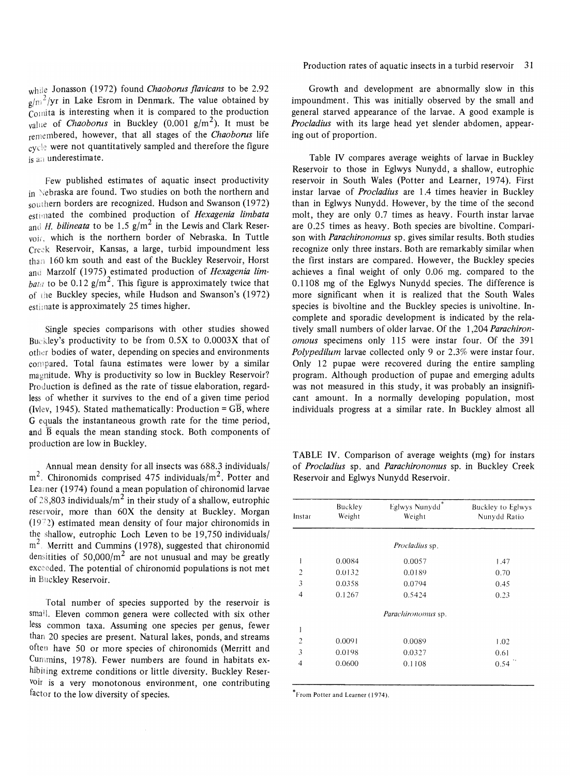wh:le Jonasson (1972) found *Chaoborns flavicans* to be 2.92  $g/m^2$ /yr in Lake Esrom in Denmark. The value obtained by  $C<sub>O</sub>$ mita is interesting when it is compared to the production value of *Chaoborus* in Buckley (0.001  $g/m^2$ ). It must be remembered, however, that all stages of the *Chaoborns* life  $cycle$  were not quantitatively sampled and therefore the figure is an underestimate.

Few published estimates of aquatic insect productivity in Nebraska are found. Two studies on both the northern and southern borders are recognized. Hudson and Swanson (1972) estimated the combined production of *Hexagenia limbata* and *H. bilineata* to be 1.5  $g/m^2$  in the Lewis and Clark Reservoii. which is the northern border of Nebraska. In Tuttle Creek Reservoir, Kansas, a large, turbid impoundment less  $than 160 km$  south and east of the Buckley Reservoir, Horst and Marzolf (1975) estimated production of *Hexagenia lim*bata to be 0.12 g/m<sup>2</sup>. This figure is approximately twice that of the Buckley species, while Hudson and Swanson's (1972) estimate is approximately 25 times higher.

Single species comparisons with other studies showed Buckley's productivity to be from  $0.5X$  to  $0.0003X$  that of other bodies of water, depending on species and environments compared. Total fauna estimates were lower by a similar magnitude. Why is productivity so low in Buckley Reservoir? Production is defined as the rate of tissue elaboration, regardless of whether it survives to the end of a given time period (Ivlev, 1945). Stated mathematically: Production =  $\overline{GB}$ , where G equals the instantaneous growth rate for the time period, and  $\overline{B}$  equals the mean standing stock. Both components of production are low in Buckley.

Annual mean density for all insects was 688.3 individuals/  $m<sup>2</sup>$ . Chironomids comprised 475 individuals/m<sup>2</sup>. Potter and Learner (1974) found a mean population of chironomid larvae of 28,803 individuals/ $m^2$  in their study of a shallow, eutrophic reservoir, more than 60X the density at Buckley. Morgan  $(1972)$  estimated mean density of four major chironomids in the shallow, eutrophic Loch Leven to be 19,750 individuals/  $m<sup>2</sup>$ . Merritt and Cummins (1978), suggested that chironomid densitities of  $50,000/m^2$  are not unusual and may be greatly exceeded. The potential of chironomid populations is not met in Bilckley Reservoir.

Total number of species supported by the reservoir is small. Eleven common genera were collected with six other less common taxa. Assuming one species per genus, fewer than 20 species are present. Natural lakes, ponds, and streams often have 50 or more species of chironomids (Merritt and CUmmins, 1978). Fewer numbers are found in habitats exhibiting extreme conditions or little diversity. Buckley Reservoir is a very monotonous environment, one contributing factor to the low diversity of species.

Production rates of aquatic insects in a turbid reservoir 31

Growth and development are abnormally slow in this impoundment. This was initially observed by the small and general starved appearance of the larvae. A good example is *Procladius* with its large head yet slender abdomen, appearing out of proportion.

Table IV compares average weights of larvae in Buckley Reservoir to those in Eglwys Nunydd, a shallow, eutrophic reservoir in South Wales (Potter and Learner, 1974). First instar larvae of *Procladius* are 1.4 times heavier in Buckley than in Eglwys Nunydd. However, by the time of the second molt, they are only 0.7 times as heavy. Fourth instar larvae are 0.25 times as heavy. Both species are bivoltine. Comparison with *Parachironomus* sp. gives similar results. Both studies recognize only three instars. Both are remarkably similar when the first instars are compared. However, the Buckley species achieves a final weight of only 0.06 mg. compared to the 0.1108 mg of the Eglwys Nunydd species. The difference is more significant when it is realized that the South Wales species is bivoltine and the Buckley species is univoltine. Incomplete and sporadic development is indicated by the relatively small numbers of older larvae. Of the 1,204 *Parachironomous* specimens only 115 were instar four. Of the 391 *Polypedilum* larvae collected only 9 or 2.3% were instar four. Only 12 pupae were recovered during the entire sampling program. Although production of pupae and emerging adults was not measured in this study, it was probably an insignificant amount. In a normally developing population, most individuals progress at a similar rate. In Buckley almost all

TABLE IV. Comparison of average weights (mg) for instars of *Procladius* sp. and *Parachironomus* sp. in Buckley Creek Reservoir and Eglwys Nunydd Reservoir.

| Instar         | Buckley<br>Weight | *<br>Eglwys Nunydd<br>Weight | Buckley to Eglwys<br>Nunydd Ratio |  |  |
|----------------|-------------------|------------------------------|-----------------------------------|--|--|
|                |                   | <i>Procladius</i> sp.        |                                   |  |  |
| 1              | 0.0084            | 0.0057                       | 1.47                              |  |  |
| $\overline{2}$ | 0.0132            | 0.0189                       | 0.70                              |  |  |
| 3              | 0.0358            | 0.0794                       | 0.45                              |  |  |
| $\overline{4}$ | 0.1267            | 0.5424                       | 0.23                              |  |  |
|                |                   | Parachironomus sp.           |                                   |  |  |
| 1              |                   |                              |                                   |  |  |
| $\overline{2}$ | 0.0091            | 0.0089                       | 1.02                              |  |  |
| 3              | 0.0198            | 0.0327                       | 0.61                              |  |  |
| $\overline{4}$ | 0.0600            | 0.1108                       | 0.54                              |  |  |
|                |                   |                              |                                   |  |  |

\* From Potter and Learner (1974).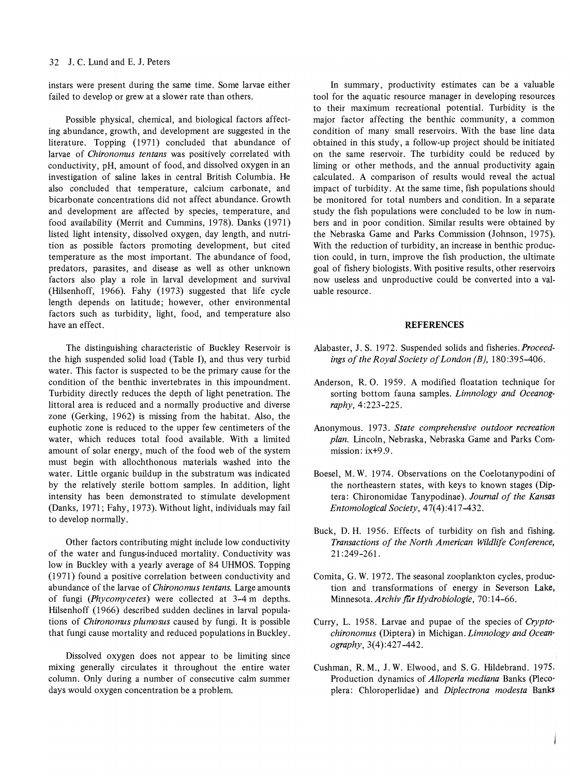instars were present during the same time. Some larvae either failed to develop or grew at a slower rate than others.

Possible physical, chemical, and biological factors affecting abundance, growth, and development are suggested in the literature. Topping (1971) concluded that abundance of larvae of *Chironomus tentans* was positively correlated with conductivity, pH, amount of food, and dissolved oxygen in an investigation of saline lakes in central British Columbia. He also concluded that temperature, calcium carbonate, and bicarbonate concentrations did not affect abundance. Growth and development are affected by species, temperature, and food availability (Merrit and Cummins, 1978). Danks (1971) listed light intensity, dissolved oxygen, day length, and nutrition as possible factors promoting development, but cited temperature as the most important. The abundance of food, predators, parasites, and disease as well as other unknown factors also play a role in larval development and survival (Hilsenhoff, 1966). Fahy (1973) suggested that life cycle length depends on latitude; however, other environmental factors such as turbidity, light, food, and temperature also have an effect.

The distinguishing characteristic of Buckley Reservoir is the high suspended solid load (Table I), and thus very turbid water. This factor is suspected to be the primary cause for the condition of the benthic invertebrates in this impoundment. Turbidity directly reduces the depth of light penetration. The littoral area is reduced and a normally productive and diverse zone (Gerking, 1962) is missing from the habitat. Also, the euphotic zone is reduced to the upper few centimeters of the water, which reduces total food available. With a limited amount of solar energy, much of the food web of the system must begin with allochthonous materials washed into the water. Little organic buildup in the substratum was indicated by the relatively sterile bottom samples. In addition, light intensity has been demonstrated to stimulate development (Danks, 1971; Fahy, 1973). Without light, individuals may fail to develop normally.

Other factors contributing might include low conductivity of the water and fungus-induced mortality. Conductivity was low in Buckley with a yearly average of 84 UHMOS. Topping (1971) found a positive correlation between conductivity and abundance of the larvae of *Chironomus tentans.* Large amounts of fungi *(Phycomycetes)* were collected at 3-4 m depths. Hilsenhoff (1966) described sudden declines in larval populations of *Chironomus plumosus* caused by fungi. It is possible that fungi cause mortality and reduced populations in Buckley.

Dissolved oxygen does not appear to be limiting since mixing generally circulates it throughout the entire water column. Only during a number of consecutive calm summer days would oxygen concentration be a problem.

In summary, productivity estimates can be a valuable tool for the aquatic resource manager in developing resources to their maximum recreational potential. Turbidity is the major factor affecting the benthic community, a common condition of many small reservoirs. With the base line data obtained in this study, a follow-up project should be initiated on the same reservoir. The turbidity could be reduced by liming or other methods, and the annual productivity again calculated. A comparison of results would reveal the actual impact of turbidity. At the same time, fish populations should be monitored for total numbers and condition. In a separate study the fish populations were concluded to be low in num· bers and in poor condition. Similar results were obtained by the Nebraska Game and Parks Commission (Johnson, 1975). With the reduction of turbidity, an increase in benthic production could, in turn, improve the fish production, the ultimate goal of fishery biologists. With positive results, other reservoirs now useless and unproductive could be converted into a valuable resource.

#### **REFERENCES**

- Alabaster, J. S. 1972. Suspended solids and *fisheries.Proceedings of the Royal Society of London (B), 180:395-406.*
- Anderson, R. O. 1959. A modified floatation technique for sorting bottom fauna samples. *Limnology and Oceanography,* 4:223-225.
- Anonymous. 1973. *State comprehensive outdoor recreation plan.* Lincoln, Nebraska, Nebraska Game and Parks Commission: ix+9.9.
- Boesel, M. W. 1974. Observations on the Coelotanypodini of the northeastern states, with keys to known stages (Diptera: Chironomidae Tanypodinae). *Journal of the Kansas Entomological Society, 47(4):417-432.*
- Buck, D. H. 1956. Effects of turbidity on fish and fishing. *Transactions of the North American Wildlife Conference,*  21 :249-261.
- Comita, G. W. 1972. The seasonal zooplankton cycles, production and transformations of energy in Severson Lake, Minnesota. *Archiv für Hydrobiologie*, 70:14-66.
- Curry, L. 1958. Larvae and pupae of the species of *Cryptochironomus* (Diptera) in Michigan. *Limnology and Oceanography,* 3(4):427-442.
- Cushman, R. M., J. W. Elwood, and S. G. Hildebrand. 1975. Production dynamics of *Alloperla mediana* Banks (pleco· plera: Chloroperlidae) and *Diplectrona modesta* Banks

ł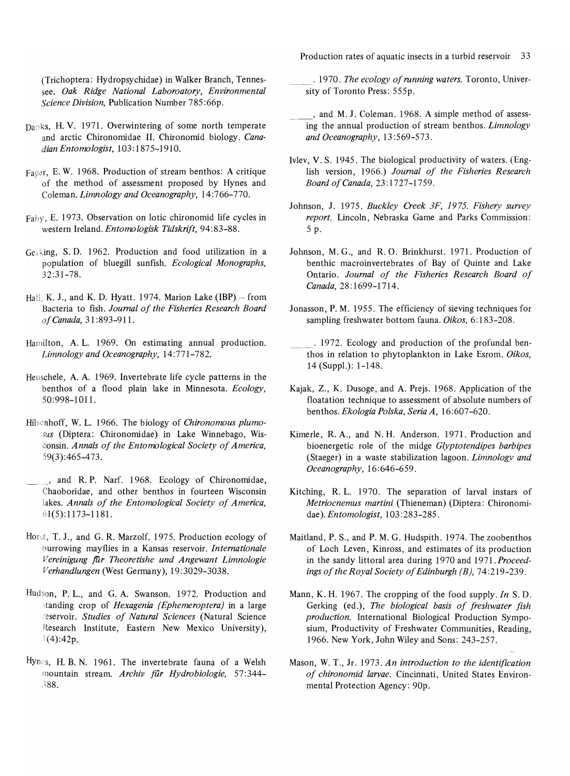Production rates of aquatic insects in a turbid reservoir 33

(Trichoptera: Hydropsychidae) in Walker Branch, Tennessee. *Oak Ridge National Laboroatory, Environmental Science Division,* Publication Number 785:66p.

- Da:1ks, H. V. 1971. Overwintering of some north temperate and arctic Chironomidae **II.** Chironomid biology. *Canadian Entomologist,* 103: 1875-1910.
- Fager, E. W. 1968. Production of stream benthos: A critique of the method of assessment proposed by Hynes and Coleman. *Limnology and Oceanography, 14:766-770.*
- Fahy, E. 1973. Observation on lotic chironomid life cycles in western Ireland. *Entomologisk Tidskrift, 94:83-88.*
- Gel king, S. D. 1962. Production and food utilization in a population of bluegill sunfish. *Ecological Monographs,*  32:31-78.
- Hall, K. J., and K. D. Hyatt. 1974. Marion Lake  $(IBP)$  from Bacteria to fish. *Journal of the Fisheries Research Board of Canada,* 31:893-911.
- Hamilton, A. L. 1969. On estimating annual production. *Limnology and Oceanography, 14:771-782.*
- Heuschele, A. A. 1969. Invertebrate life cycle patterns in the benthos of a flood plain lake in Minnesota. *Ecology,*  50:998-101l.
- Hilsenhoff, W. L. 1966. The biology of *Chironomous plumosus* (Diptera: Chironomidae) in Lake Winnebago, Wisconsin. *Annals of the Entomological Society of America,*  59(3):465-473.
- , and R. P. Narf. 1968. Ecology of Chironomidae, Chaoboridae, and other benthos in fourteen Wisconsin lakes. *Annals of the Entomological Society of America*, 61(5):1173-1181.
- Horst, T. J., and G. R. Marzolf. 1975. Production ecology of burrowing mayflies in a Kansas reservoir. *Internationale Vereinigung fUr Theoretishe und Angewant Limnologie Verhandlungen* (West Germany), 19:3029-3038.
- Hudson, P. L., and G. A. Swanson. 1972. Production and standing crop of *Hexagenia (Ephemeroptera)* in a large -eservoir. *Studies of Natural Sciences* (Natural Science Research Institute, Eastern New Mexico University),  $(4)$ :42p.
- Hynes, H. B. N. 1961. The invertebrate fauna of a Welsh mountain stream. *Archiv filr Hydrobiologie, 57:344-* ~88.

. 1970. *The ecology of running waters.* Toronto, University of Toronto Press: 555p.

- , and M. J. Coleman. 1968. A simple method of assessing the annual production of stream benthos. *Limnology and Oceanography, 13:569-573.*
- Ivlev, V. S. 1945. The biological productivity of waters. (English version, 1966.) *Journal of the Fisheries Research Board of Canada,* 23:1727-1759.
- Johnson, J. 1975. *Buckley Creek 3F,* 1975. *Fishery survey report.* Lincoln, Nebraska Game and Parks Commission: 5 p.
- Johnson, M. G., and R. O. Brinkhurst. 1971. Production of benthic macroinvertebrates of Bay of Quinte and Lake Ontario. *Journal of the Fisheries Research Board of Canada,* 28:1699-1714.
- Jonasson, P. M. 1955. The efficiency of sieving techniques for sampling freshwater bottom fauna. Oikos, 6:183-208.
- \_\_\_ . 1972. Ecology and production of the profundal benthos in relation to phytoplankton in Lake Esrom. *Oikos,*  14 (Suppl.): 1-148.
- Kajak, Z., K. Dusoge, and A. Prejs. 1968. Application of the floatation technique to assessment of absolute numbers of benthos. *Ekologia Polska, Seria A,* 16 :607 -620.
- Kimerle, R. A., and N. H. Anderson. 1971. Production and bioenergetic role of the midge *Glyptotendipes barbipes*  (Staeger) in a waste stabilization lagoon. *Limnology and Oceanography, 16:646-659.*
- Kitching, R. L. 1970. The separation of larval instars of *Metriocnemus martini* (Thieneman) (Diptera: Chironomidae). *Entomologist,* 103 :283-285.
- Maitland, P. S., and P. M. G. Hudspith. 1974. The zoobenthos of Loch Leven, Kinross, and estimates of its production in the sandy littoral area during 1970 and 1971. *Proceedings of the Royal Society of Edinburgh (B), 74:219-239.*
- Mann, K. H. 1967. The cropping of the food supply. *In* S. D. Gerking (ed.), *The biological basis of freshwater fish production.* International Biological Production Symposium, Productivity of Freshwater Communities, Reading, 1966. New York, John Wiley and Sons: 243-257.
- Mason, W. T., Jr. 1973. *An introduction to the identification of chironomid larvae.* Cincinnati, United States Environmental Protection Agency: 90p.